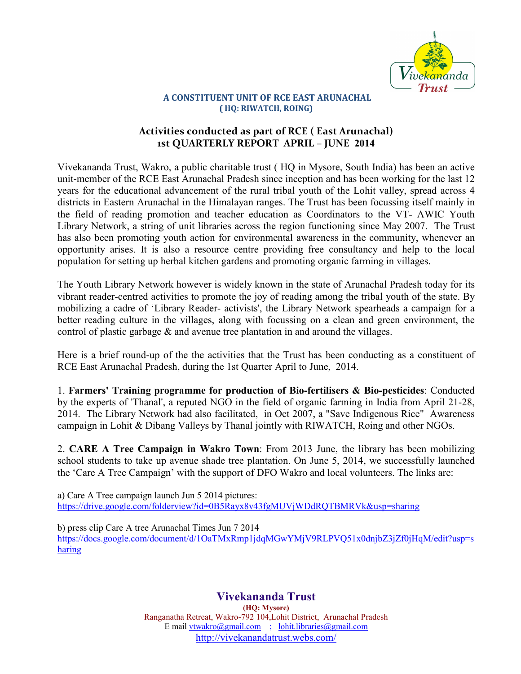

## **A CONSTITUENT UNIT OF RCE EAST ARUNACHAL ( HQ: RIWATCH, ROING)**

## **Activities conducted as part of RCE ( East Arunachal) 1st QUARTERLY REPORT APRIL – JUNE 2014**

Vivekananda Trust, Wakro, a public charitable trust ( HQ in Mysore, South India) has been an active unit-member of the RCE East Arunachal Pradesh since inception and has been working for the last 12 years for the educational advancement of the rural tribal youth of the Lohit valley, spread across 4 districts in Eastern Arunachal in the Himalayan ranges. The Trust has been focussing itself mainly in the field of reading promotion and teacher education as Coordinators to the VT- AWIC Youth Library Network, a string of unit libraries across the region functioning since May 2007. The Trust has also been promoting youth action for environmental awareness in the community, whenever an opportunity arises. It is also a resource centre providing free consultancy and help to the local population for setting up herbal kitchen gardens and promoting organic farming in villages.

The Youth Library Network however is widely known in the state of Arunachal Pradesh today for its vibrant reader-centred activities to promote the joy of reading among the tribal youth of the state. By mobilizing a cadre of 'Library Reader- activists', the Library Network spearheads a campaign for a better reading culture in the villages, along with focussing on a clean and green environment, the control of plastic garbage & and avenue tree plantation in and around the villages.

Here is a brief round-up of the the activities that the Trust has been conducting as a constituent of RCE East Arunachal Pradesh, during the 1st Quarter April to June, 2014.

1. **Farmers' Training programme for production of Bio-fertilisers & Bio-pesticides**: Conducted by the experts of 'Thanal', a reputed NGO in the field of organic farming in India from April 21-28, 2014. The Library Network had also facilitated, in Oct 2007, a "Save Indigenous Rice" Awareness campaign in Lohit & Dibang Valleys by Thanal jointly with RIWATCH, Roing and other NGOs.

2. **CARE A Tree Campaign in Wakro Town**: From 2013 June, the library has been mobilizing school students to take up avenue shade tree plantation. On June 5, 2014, we successfully launched the 'Care A Tree Campaign' with the support of DFO Wakro and local volunteers. The links are:

a) Care A Tree campaign launch Jun 5 2014 pictures: https://drive.google.com/folderview?id=0B5Rayx8v43fgMUVjWDdRQTBMRVk&usp=sharing

b) press clip Care A tree Arunachal Times Jun 7 2014 https://docs.google.com/document/d/1OaTMxRmp1jdqMGwYMjV9RLPVQ51x0dnjbZ3jZf0jHqM/edit?usp=s haring

> **Vivekananda Trust (HQ: Mysore)**  Ranganatha Retreat, Wakro-792 104,Lohit District, Arunachal Pradesh E mail vtwakro@gmail.com ; lohit.libraries@gmail.com http://vivekanandatrust.webs.com/